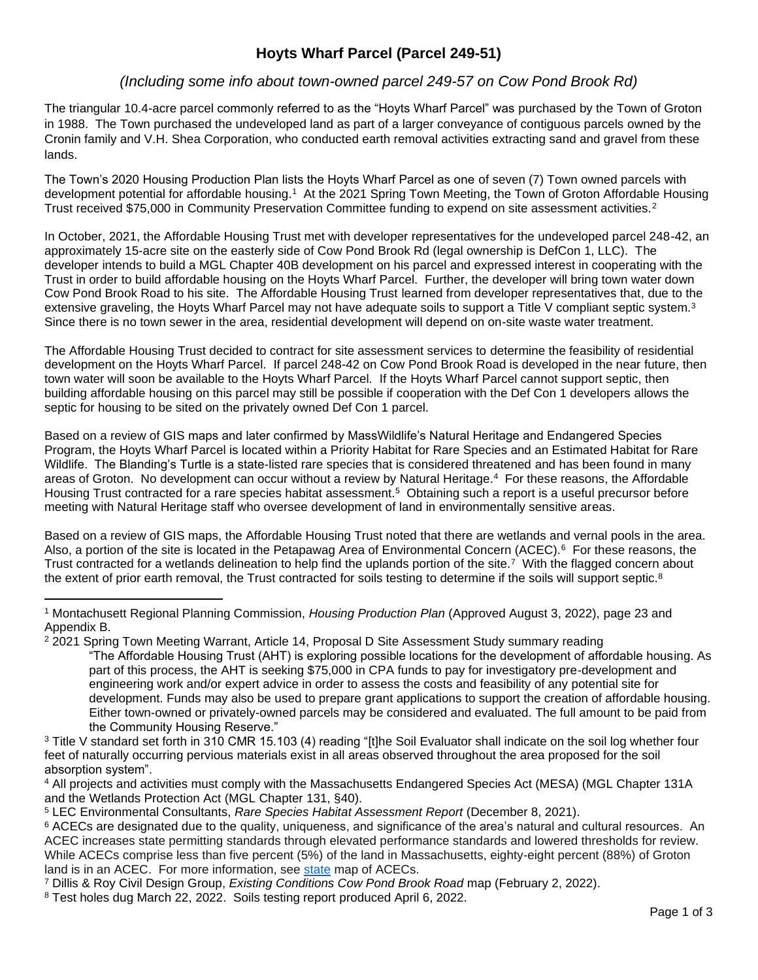# **Hoyts Wharf Parcel (Parcel 249-51)**

## *(Including some info about town-owned parcel 249-57 on Cow Pond Brook Rd)*

The triangular 10.4-acre parcel commonly referred to as the "Hoyts Wharf Parcel" was purchased by the Town of Groton in 1988. The Town purchased the undeveloped land as part of a larger conveyance of contiguous parcels owned by the Cronin family and V.H. Shea Corporation, who conducted earth removal activities extracting sand and gravel from these lands.

The Town's 2020 Housing Production Plan lists the Hoyts Wharf Parcel as one of seven (7) Town owned parcels with development potential for affordable housing.<sup>1</sup> At the 2021 Spring Town Meeting, the Town of Groton Affordable Housing Trust received \$75,000 in Community Preservation Committee funding to expend on site assessment activities.<sup>2</sup>

In October, 2021, the Affordable Housing Trust met with developer representatives for the undeveloped parcel 248-42, an approximately 15-acre site on the easterly side of Cow Pond Brook Rd (legal ownership is DefCon 1, LLC). The developer intends to build a MGL Chapter 40B development on his parcel and expressed interest in cooperating with the Trust in order to build affordable housing on the Hoyts Wharf Parcel. Further, the developer will bring town water down Cow Pond Brook Road to his site. The Affordable Housing Trust learned from developer representatives that, due to the extensive graveling, the Hoyts Wharf Parcel may not have adequate soils to support a Title V compliant septic system.<sup>3</sup> Since there is no town sewer in the area, residential development will depend on on-site waste water treatment.

The Affordable Housing Trust decided to contract for site assessment services to determine the feasibility of residential development on the Hoyts Wharf Parcel. If parcel 248-42 on Cow Pond Brook Road is developed in the near future, then town water will soon be available to the Hoyts Wharf Parcel. If the Hoyts Wharf Parcel cannot support septic, then building affordable housing on this parcel may still be possible if cooperation with the Def Con 1 developers allows the septic for housing to be sited on the privately owned Def Con 1 parcel.

Based on a review of GIS maps and later confirmed by MassWildlife's Natural Heritage and Endangered Species Program, the Hoyts Wharf Parcel is located within a Priority Habitat for Rare Species and an Estimated Habitat for Rare Wildlife. The Blanding's Turtle is a state-listed rare species that is considered threatened and has been found in many areas of Groton. No development can occur without a review by Natural Heritage.<sup>4</sup> For these reasons, the Affordable Housing Trust contracted for a rare species habitat assessment.<sup>5</sup> Obtaining such a report is a useful precursor before meeting with Natural Heritage staff who oversee development of land in environmentally sensitive areas.

Based on a review of GIS maps, the Affordable Housing Trust noted that there are wetlands and vernal pools in the area. Also, a portion of the site is located in the Petapawag Area of Environmental Concern (ACEC).<sup>6</sup> For these reasons, the Trust contracted for a wetlands delineation to help find the uplands portion of the site.<sup>7</sup> With the flagged concern about the extent of prior earth removal, the Trust contracted for soils testing to determine if the soils will support septic.<sup>8</sup>

<sup>1</sup> Montachusett Regional Planning Commission, *Housing Production Plan* (Approved August 3, 2022), page 23 and Appendix B.

<sup>&</sup>lt;sup>2</sup> 2021 Spring Town Meeting Warrant, Article 14, Proposal D Site Assessment Study summary reading

<sup>&</sup>quot;The Affordable Housing Trust (AHT) is exploring possible locations for the development of affordable housing. As part of this process, the AHT is seeking \$75,000 in CPA funds to pay for investigatory pre-development and engineering work and/or expert advice in order to assess the costs and feasibility of any potential site for development. Funds may also be used to prepare grant applications to support the creation of affordable housing. Either town-owned or privately-owned parcels may be considered and evaluated. The full amount to be paid from the Community Housing Reserve."

<sup>&</sup>lt;sup>3</sup> Title V standard set forth in 310 CMR 15.103 (4) reading "[t]he Soil Evaluator shall indicate on the soil log whether four feet of naturally occurring pervious materials exist in all areas observed throughout the area proposed for the soil absorption system".

<sup>4</sup> All projects and activities must comply with the Massachusetts Endangered Species Act (MESA) (MGL Chapter 131A and the Wetlands Protection Act (MGL Chapter 131, §40).

<sup>5</sup> LEC Environmental Consultants, *Rare Species Habitat Assessment Report* (December 8, 2021).

<sup>&</sup>lt;sup>6</sup> ACECs are designated due to the quality, uniqueness, and significance of the area's natural and cultural resources. An ACEC increases state permitting standards through elevated performance standards and lowered thresholds for review. While ACECs comprise less than five percent (5%) of the land in Massachusetts, eighty-eight percent (88%) of Groton land is in an ACEC. For more information, see [state](https://www.mass.gov/doc/massachusetts-areas-of-critical-environmental-concern-acecs-statewide-map/download) map of ACECs.

<sup>7</sup> Dillis & Roy Civil Design Group, *Existing Conditions Cow Pond Brook Road* map (February 2, 2022).

<sup>8</sup> Test holes dug March 22, 2022. Soils testing report produced April 6, 2022.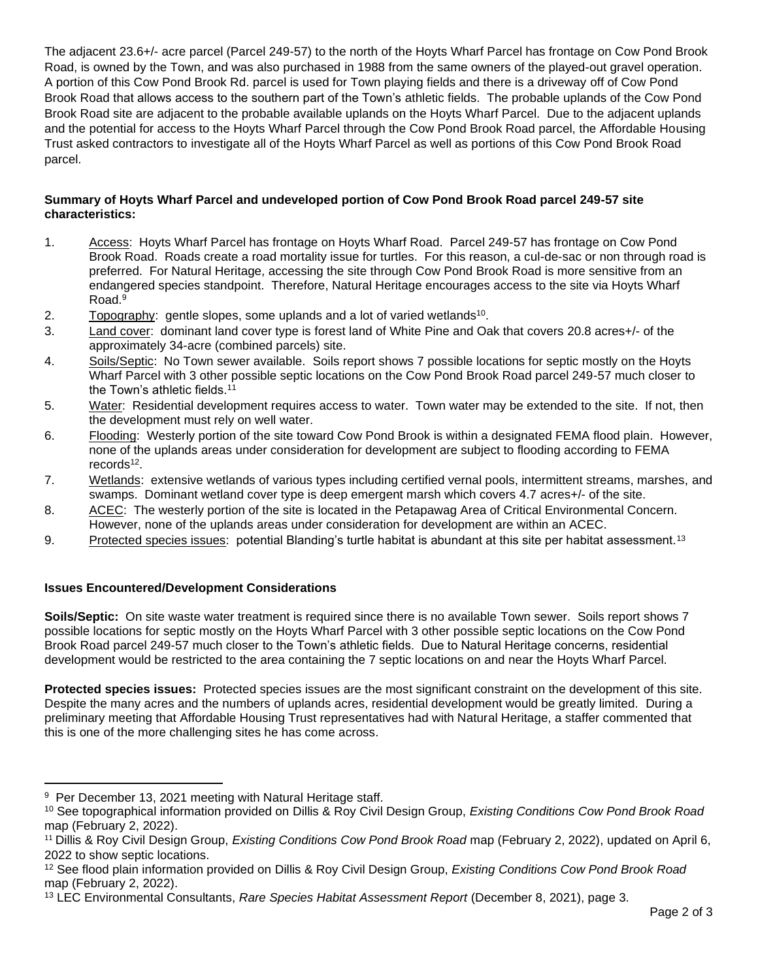The adjacent 23.6+/- acre parcel (Parcel 249-57) to the north of the Hoyts Wharf Parcel has frontage on Cow Pond Brook Road, is owned by the Town, and was also purchased in 1988 from the same owners of the played-out gravel operation. A portion of this Cow Pond Brook Rd. parcel is used for Town playing fields and there is a driveway off of Cow Pond Brook Road that allows access to the southern part of the Town's athletic fields. The probable uplands of the Cow Pond Brook Road site are adjacent to the probable available uplands on the Hoyts Wharf Parcel. Due to the adjacent uplands and the potential for access to the Hoyts Wharf Parcel through the Cow Pond Brook Road parcel, the Affordable Housing Trust asked contractors to investigate all of the Hoyts Wharf Parcel as well as portions of this Cow Pond Brook Road parcel.

### **Summary of Hoyts Wharf Parcel and undeveloped portion of Cow Pond Brook Road parcel 249-57 site characteristics:**

- 1. Access: Hoyts Wharf Parcel has frontage on Hoyts Wharf Road. Parcel 249-57 has frontage on Cow Pond Brook Road. Roads create a road mortality issue for turtles. For this reason, a cul-de-sac or non through road is preferred. For Natural Heritage, accessing the site through Cow Pond Brook Road is more sensitive from an endangered species standpoint. Therefore, Natural Heritage encourages access to the site via Hoyts Wharf Road.<sup>9</sup>
- 2. Topography: gentle slopes, some uplands and a lot of varied wetlands<sup>10</sup>.
- 3. Land cover: dominant land cover type is forest land of White Pine and Oak that covers 20.8 acres+/- of the approximately 34-acre (combined parcels) site.
- 4. Soils/Septic: No Town sewer available. Soils report shows 7 possible locations for septic mostly on the Hoyts Wharf Parcel with 3 other possible septic locations on the Cow Pond Brook Road parcel 249-57 much closer to the Town's athletic fields.<sup>11</sup>
- 5. Water: Residential development requires access to water. Town water may be extended to the site. If not, then the development must rely on well water.
- 6. Flooding: Westerly portion of the site toward Cow Pond Brook is within a designated FEMA flood plain. However, none of the uplands areas under consideration for development are subject to flooding according to FEMA records<sup>12</sup>.
- 7. Wetlands: extensive wetlands of various types including certified vernal pools, intermittent streams, marshes, and swamps. Dominant wetland cover type is deep emergent marsh which covers 4.7 acres+/- of the site.
- 8. ACEC: The westerly portion of the site is located in the Petapawag Area of Critical Environmental Concern. However, none of the uplands areas under consideration for development are within an ACEC.
- 9. Protected species issues: potential Blanding's turtle habitat is abundant at this site per habitat assessment.<sup>13</sup>

#### **Issues Encountered/Development Considerations**

**Soils/Septic:** On site waste water treatment is required since there is no available Town sewer. Soils report shows 7 possible locations for septic mostly on the Hoyts Wharf Parcel with 3 other possible septic locations on the Cow Pond Brook Road parcel 249-57 much closer to the Town's athletic fields. Due to Natural Heritage concerns, residential development would be restricted to the area containing the 7 septic locations on and near the Hoyts Wharf Parcel.

**Protected species issues:** Protected species issues are the most significant constraint on the development of this site. Despite the many acres and the numbers of uplands acres, residential development would be greatly limited. During a preliminary meeting that Affordable Housing Trust representatives had with Natural Heritage, a staffer commented that this is one of the more challenging sites he has come across.

<sup>&</sup>lt;sup>9</sup> Per December 13, 2021 meeting with Natural Heritage staff.

<sup>10</sup> See topographical information provided on Dillis & Roy Civil Design Group, *Existing Conditions Cow Pond Brook Road* map (February 2, 2022).

<sup>11</sup> Dillis & Roy Civil Design Group, *Existing Conditions Cow Pond Brook Road* map (February 2, 2022), updated on April 6, 2022 to show septic locations.

<sup>12</sup> See flood plain information provided on Dillis & Roy Civil Design Group, *Existing Conditions Cow Pond Brook Road* map (February 2, 2022).

<sup>13</sup> LEC Environmental Consultants, *Rare Species Habitat Assessment Report* (December 8, 2021), page 3.